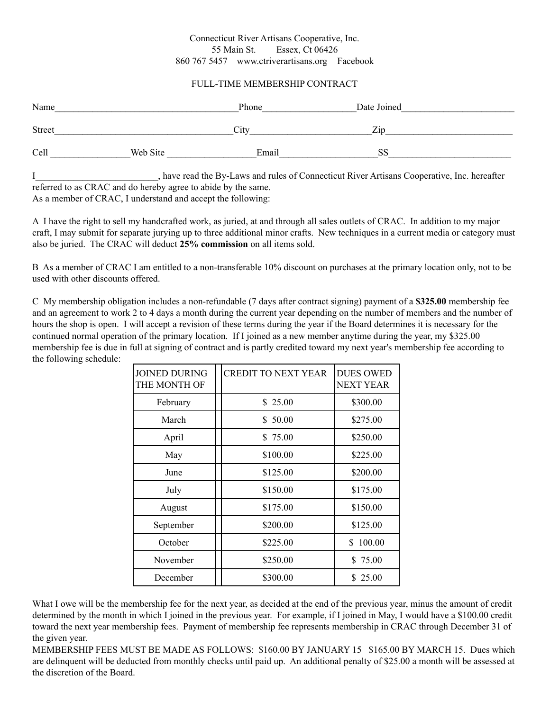## Connecticut River Artisans Cooperative, Inc. 55 Main St. Essex, Ct 06426 860 767 5457 [www.ctriverartisans.org](http://www.ctriverartisans.com/) Facebook

## FULL-TIME MEMBERSHIP CONTRACT

| Name          |          | Phone | Date Joined |
|---------------|----------|-------|-------------|
| <b>Street</b> |          | City  | Zin         |
| Cell          | Web Site | Email | <b>SS</b>   |

I<sub>j</sub> have read the By-Laws and rules of Connecticut River Artisans Cooperative, Inc. hereafter referred to as CRAC and do hereby agree to abide by the same. As a member of CRAC, I understand and accept the following:

A I have the right to sell my handcrafted work, as juried, at and through all sales outlets of CRAC. In addition to my major craft, I may submit for separate jurying up to three additional minor crafts. New techniques in a current media or category must also be juried. The CRAC will deduct **25% commission** on all items sold.

B As a member of CRAC I am entitled to a non-transferable 10% discount on purchases at the primary location only, not to be used with other discounts offered.

C My membership obligation includes a non-refundable (7 days after contract signing) payment of a **\$325.00** membership fee and an agreement to work 2 to 4 days a month during the current year depending on the number of members and the number of hours the shop is open. I will accept a revision of these terms during the year if the Board determines it is necessary for the continued normal operation of the primary location. If I joined as a new member anytime during the year, my \$325.00 membership fee is due in full at signing of contract and is partly credited toward my next year's membership fee according to the following schedule:

| <b>JOINED DURING</b><br>THE MONTH OF | <b>CREDIT TO NEXT YEAR</b> | <b>DUES OWED</b><br><b>NEXT YEAR</b> |
|--------------------------------------|----------------------------|--------------------------------------|
| February                             | \$25.00                    | \$300.00                             |
| March                                | \$50.00                    | \$275.00                             |
| April                                | \$75.00                    | \$250.00                             |
| May                                  | \$100.00                   | \$225.00                             |
| June                                 | \$125.00                   | \$200.00                             |
| July                                 | \$150.00                   | \$175.00                             |
| August                               | \$175.00                   | \$150.00                             |
| September                            | \$200.00                   | \$125.00                             |
| October                              | \$225.00                   | 100.00<br>\$                         |
| November                             | \$250.00                   | \$75.00                              |
| December                             | \$300.00                   | \$25.00                              |

What I owe will be the membership fee for the next year, as decided at the end of the previous year, minus the amount of credit determined by the month in which I joined in the previous year. For example, if I joined in May, I would have a \$100.00 credit toward the next year membership fees. Payment of membership fee represents membership in CRAC through December 31 of the given year.

MEMBERSHIP FEES MUST BE MADE AS FOLLOWS: \$160.00 BY JANUARY 15 \$165.00 BY MARCH 15. Dues which are delinquent will be deducted from monthly checks until paid up. An additional penalty of \$25.00 a month will be assessed at the discretion of the Board.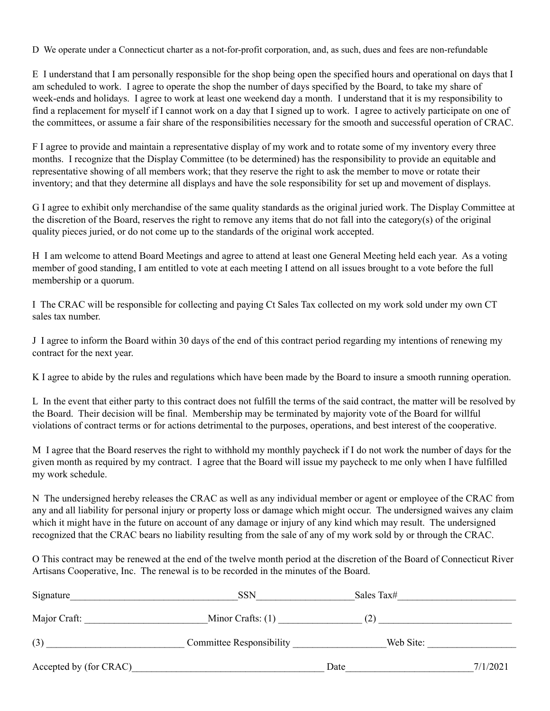D We operate under a Connecticut charter as a not-for-profit corporation, and, as such, dues and fees are non-refundable

E I understand that I am personally responsible for the shop being open the specified hours and operational on days that I am scheduled to work. I agree to operate the shop the number of days specified by the Board, to take my share of week-ends and holidays. I agree to work at least one weekend day a month. I understand that it is my responsibility to find a replacement for myself if I cannot work on a day that I signed up to work. I agree to actively participate on one of the committees, or assume a fair share of the responsibilities necessary for the smooth and successful operation of CRAC.

F I agree to provide and maintain a representative display of my work and to rotate some of my inventory every three months. I recognize that the Display Committee (to be determined) has the responsibility to provide an equitable and representative showing of all members work; that they reserve the right to ask the member to move or rotate their inventory; and that they determine all displays and have the sole responsibility for set up and movement of displays.

G I agree to exhibit only merchandise of the same quality standards as the original juried work. The Display Committee at the discretion of the Board, reserves the right to remove any items that do not fall into the category(s) of the original quality pieces juried, or do not come up to the standards of the original work accepted.

H I am welcome to attend Board Meetings and agree to attend at least one General Meeting held each year. As a voting member of good standing, I am entitled to vote at each meeting I attend on all issues brought to a vote before the full membership or a quorum.

I The CRAC will be responsible for collecting and paying Ct Sales Tax collected on my work sold under my own CT sales tax number.

J I agree to inform the Board within 30 days of the end of this contract period regarding my intentions of renewing my contract for the next year.

K I agree to abide by the rules and regulations which have been made by the Board to insure a smooth running operation.

L In the event that either party to this contract does not fulfill the terms of the said contract, the matter will be resolved by the Board. Their decision will be final. Membership may be terminated by majority vote of the Board for willful violations of contract terms or for actions detrimental to the purposes, operations, and best interest of the cooperative.

M I agree that the Board reserves the right to withhold my monthly paycheck if I do not work the number of days for the given month as required by my contract. I agree that the Board will issue my paycheck to me only when I have fulfilled my work schedule.

N The undersigned hereby releases the CRAC as well as any individual member or agent or employee of the CRAC from any and all liability for personal injury or property loss or damage which might occur. The undersigned waives any claim which it might have in the future on account of any damage or injury of any kind which may result. The undersigned recognized that the CRAC bears no liability resulting from the sale of any of my work sold by or through the CRAC.

O This contract may be renewed at the end of the twelve month period at the discretion of the Board of Connecticut River Artisans Cooperative, Inc. The renewal is to be recorded in the minutes of the Board.

| Signature              | <b>SSN</b>                      | Sales Tax# |          |
|------------------------|---------------------------------|------------|----------|
| Major Craft:           | Minor Crafts: $(1)$             | (2)        |          |
| (3)                    | <b>Committee Responsibility</b> | Web Site:  |          |
| Accepted by (for CRAC) |                                 | Date       | 7/1/2021 |